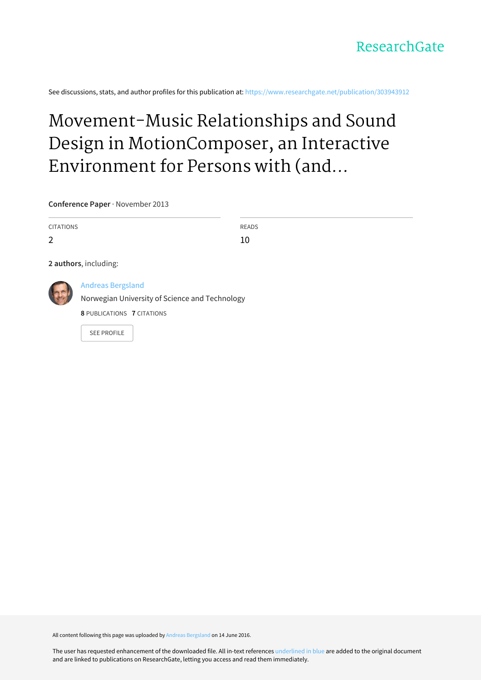See discussions, stats, and author profiles for this publication at: [https://www.researchgate.net/publication/303943912](https://www.researchgate.net/publication/303943912_Movement-Music_Relationships_and_Sound_Design_in_MotionComposer_an_Interactive_Environment_for_Persons_with_and_without_Disabilities?enrichId=rgreq-b1c4798b5b1cc7878351ef727984881e-XXX&enrichSource=Y292ZXJQYWdlOzMwMzk0MzkxMjtBUzozNzI4MTQ5NzM1NTQ2ODhAMTQ2NTg5NzQyNDE0NQ%3D%3D&el=1_x_2&_esc=publicationCoverPdf)

# Movement-Music Relationships and Sound Design in MotionComposer, an Interactive Environment for Persons with (and...

**Conference Paper** · November 2013

CITATIONS 2 READS 10 **2 authors**, including: Andreas [Bergsland](https://www.researchgate.net/profile/Andreas_Bergsland?enrichId=rgreq-b1c4798b5b1cc7878351ef727984881e-XXX&enrichSource=Y292ZXJQYWdlOzMwMzk0MzkxMjtBUzozNzI4MTQ5NzM1NTQ2ODhAMTQ2NTg5NzQyNDE0NQ%3D%3D&el=1_x_5&_esc=publicationCoverPdf) Norwegian University of Science and [Technology](https://www.researchgate.net/institution/Norwegian_University_of_Science_and_Technology?enrichId=rgreq-b1c4798b5b1cc7878351ef727984881e-XXX&enrichSource=Y292ZXJQYWdlOzMwMzk0MzkxMjtBUzozNzI4MTQ5NzM1NTQ2ODhAMTQ2NTg5NzQyNDE0NQ%3D%3D&el=1_x_6&_esc=publicationCoverPdf) **8** PUBLICATIONS **7** CITATIONS

SEE [PROFILE](https://www.researchgate.net/profile/Andreas_Bergsland?enrichId=rgreq-b1c4798b5b1cc7878351ef727984881e-XXX&enrichSource=Y292ZXJQYWdlOzMwMzk0MzkxMjtBUzozNzI4MTQ5NzM1NTQ2ODhAMTQ2NTg5NzQyNDE0NQ%3D%3D&el=1_x_7&_esc=publicationCoverPdf)

All content following this page was uploaded by Andreas [Bergsland](https://www.researchgate.net/profile/Andreas_Bergsland?enrichId=rgreq-b1c4798b5b1cc7878351ef727984881e-XXX&enrichSource=Y292ZXJQYWdlOzMwMzk0MzkxMjtBUzozNzI4MTQ5NzM1NTQ2ODhAMTQ2NTg5NzQyNDE0NQ%3D%3D&el=1_x_10&_esc=publicationCoverPdf) on 14 June 2016.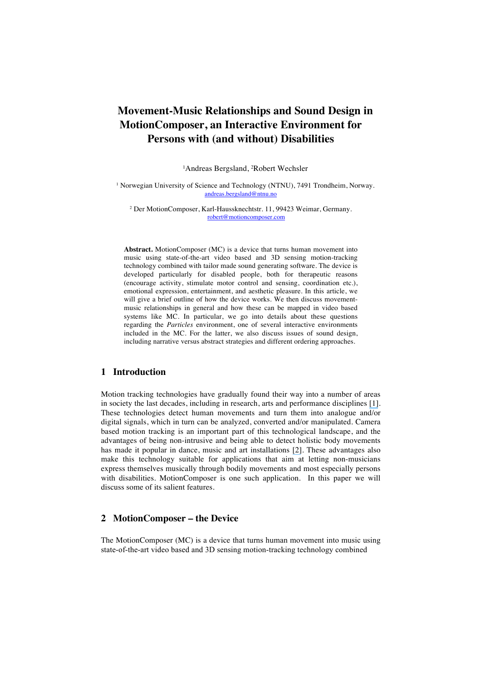# **Movement-Music Relationships and Sound Design in MotionComposer, an Interactive Environment for Persons with (and without) Disabilities**

<sup>1</sup>Andreas Bergsland, <sup>2</sup>Robert Wechsler

<sup>1</sup> Norwegian University of Science and Technology (NTNU), 7491 Trondheim, Norway. andreas.bergsland@ntnu.no

<sup>2</sup> Der MotionComposer, Karl-Haussknechtstr. 11, 99423 Weimar, Germany. robert@motioncomposer.com

**Abstract.** MotionComposer (MC) is a device that turns human movement into music using state-of-the-art video based and 3D sensing motion-tracking technology combined with tailor made sound generating software. The device is developed particularly for disabled people, both for therapeutic reasons (encourage activity, stimulate motor control and sensing, coordination etc.), emotional expression, entertainment, and aesthetic pleasure. In this article, we will give a brief outline of how the device works. We then discuss movementmusic relationships in general and how these can be mapped in video based systems like MC. In particular, we go into details about these questions regarding the *Particles* environment, one of several interactive environments included in the MC. For the latter, we also discuss issues of sound design, including narrative versus abstract strategies and different ordering approaches.

### **1 Introduction**

Motion tracking technologies have gradually found their way into a number of areas in society the last decades, including in research, arts and performance disciplines [\[1\]](https://www.researchgate.net/publication/270819549_Music_via_motion_transdomain_mapping_of_motion_and_sound_for_interactive_performances?el=1_x_8&enrichId=rgreq-b1c4798b5b1cc7878351ef727984881e-XXX&enrichSource=Y292ZXJQYWdlOzMwMzk0MzkxMjtBUzozNzI4MTQ5NzM1NTQ2ODhAMTQ2NTg5NzQyNDE0NQ==). These technologies detect human movements and turn them into analogue and/or digital signals, which in turn can be analyzed, converted and/or manipulated. Camera based motion tracking is an important part of this technological landscape, and the advantages of being non-intrusive and being able to detect holistic body movements has made it popular in dance, music and art installations [\[2\]](https://www.researchgate.net/publication/290557269_Camera-Based_Motion_Tracking_and_Performing_Arts_for_Persons_with_Motor_Disabilities_and_Autism?el=1_x_8&enrichId=rgreq-b1c4798b5b1cc7878351ef727984881e-XXX&enrichSource=Y292ZXJQYWdlOzMwMzk0MzkxMjtBUzozNzI4MTQ5NzM1NTQ2ODhAMTQ2NTg5NzQyNDE0NQ==). These advantages also make this technology suitable for applications that aim at letting non-musicians express themselves musically through bodily movements and most especially persons with disabilities. MotionComposer is one such application. In this paper we will discuss some of its salient features.

# **2 MotionComposer – the Device**

The MotionComposer (MC) is a device that turns human movement into music using state-of-the-art video based and 3D sensing motion-tracking technology combined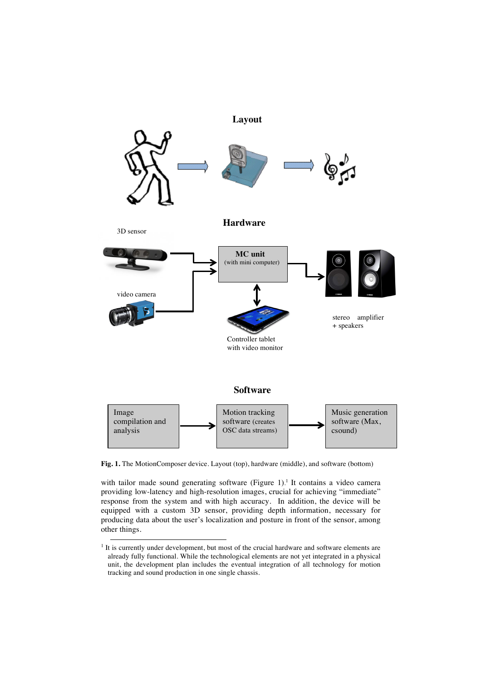

**Fig. 1.** The MotionComposer device. Layout (top), hardware (middle), and software (bottom)

with tailor made sound generating software (Figure 1).<sup>1</sup> It contains a video camera providing low-latency and high-resolution images, crucial for achieving "immediate" response from the system and with high accuracy. In addition, the device will be equipped with a custom 3D sensor, providing depth information, necessary for producing data about the user's localization and posture in front of the sensor, among other things.

 $<sup>1</sup>$  It is currently under development, but most of the crucial hardware and software elements are</sup> already fully functional. While the technological elements are not yet integrated in a physical unit, the development plan includes the eventual integration of all technology for motion tracking and sound production in one single chassis.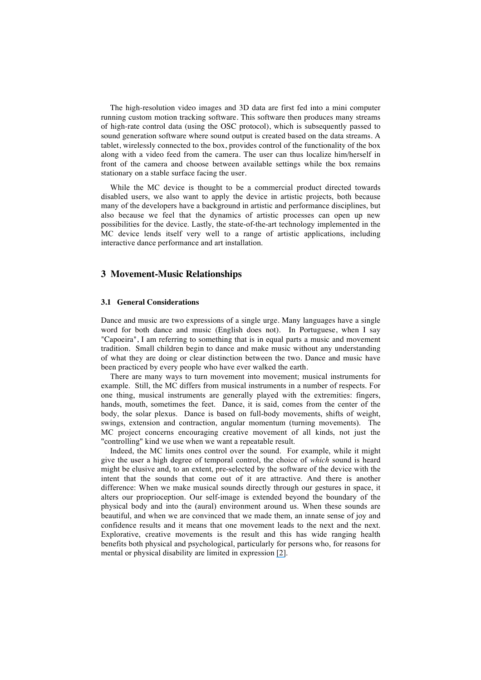The high-resolution video images and 3D data are first fed into a mini computer running custom motion tracking software. This software then produces many streams of high-rate control data (using the OSC protocol), which is subsequently passed to sound generation software where sound output is created based on the data streams. A tablet, wirelessly connected to the box, provides control of the functionality of the box along with a video feed from the camera. The user can thus localize him/herself in front of the camera and choose between available settings while the box remains stationary on a stable surface facing the user.

While the MC device is thought to be a commercial product directed towards disabled users, we also want to apply the device in artistic projects, both because many of the developers have a background in artistic and performance disciplines, but also because we feel that the dynamics of artistic processes can open up new possibilities for the device. Lastly, the state-of-the-art technology implemented in the MC device lends itself very well to a range of artistic applications, including interactive dance performance and art installation.

#### **3 Movement-Music Relationships**

#### **3.1 General Considerations**

Dance and music are two expressions of a single urge. Many languages have a single word for both dance and music (English does not). In Portuguese, when I say "Capoeira", I am referring to something that is in equal parts a music and movement tradition. Small children begin to dance and make music without any understanding of what they are doing or clear distinction between the two. Dance and music have been practiced by every people who have ever walked the earth.

There are many ways to turn movement into movement; musical instruments for example. Still, the MC differs from musical instruments in a number of respects. For one thing, musical instruments are generally played with the extremities: fingers, hands, mouth, sometimes the feet. Dance, it is said, comes from the center of the body, the solar plexus. Dance is based on full-body movements, shifts of weight, swings, extension and contraction, angular momentum (turning movements). The MC project concerns encouraging creative movement of all kinds, not just the "controlling" kind we use when we want a repeatable result.

Indeed, the MC limits ones control over the sound. For example, while it might give the user a high degree of temporal control, the choice of *which* sound is heard might be elusive and, to an extent, pre-selected by the software of the device with the intent that the sounds that come out of it are attractive. And there is another difference: When we make musical sounds directly through our gestures in space, it alters our proprioception. Our self-image is extended beyond the boundary of the physical body and into the (aural) environment around us. When these sounds are beautiful, and when we are convinced that we made them, an innate sense of joy and confidence results and it means that one movement leads to the next and the next. Explorative, creative movements is the result and this has wide ranging health benefits both physical and psychological, particularly for persons who, for reasons for mental or physical disability are limited in expression [\[2\]](https://www.researchgate.net/publication/290557269_Camera-Based_Motion_Tracking_and_Performing_Arts_for_Persons_with_Motor_Disabilities_and_Autism?el=1_x_8&enrichId=rgreq-b1c4798b5b1cc7878351ef727984881e-XXX&enrichSource=Y292ZXJQYWdlOzMwMzk0MzkxMjtBUzozNzI4MTQ5NzM1NTQ2ODhAMTQ2NTg5NzQyNDE0NQ==).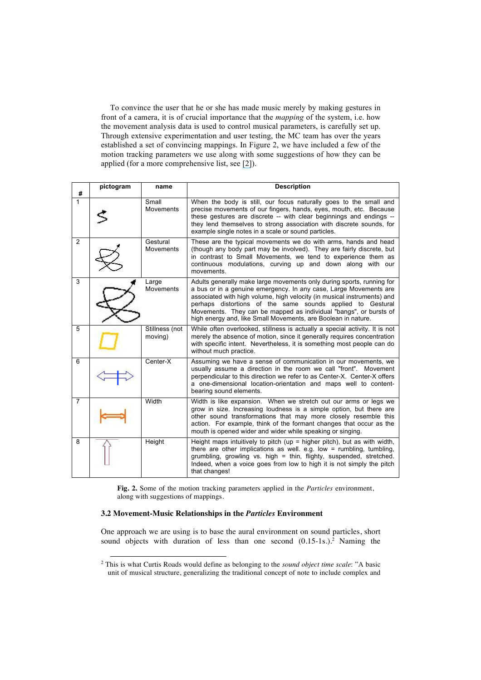To convince the user that he or she has made music merely by making gestures in front of a camera, it is of crucial importance that the *mapping* of the system, i.e. how the movement analysis data is used to control musical parameters, is carefully set up. Through extensive experimentation and user testing, the MC team has over the years established a set of convincing mappings. In Figure 2, we have included a few of the motion tracking parameters we use along with some suggestions of how they can be applied (for a more comprehensive list, see [\[2\]](https://www.researchgate.net/publication/290557269_Camera-Based_Motion_Tracking_and_Performing_Arts_for_Persons_with_Motor_Disabilities_and_Autism?el=1_x_8&enrichId=rgreq-b1c4798b5b1cc7878351ef727984881e-XXX&enrichSource=Y292ZXJQYWdlOzMwMzk0MzkxMjtBUzozNzI4MTQ5NzM1NTQ2ODhAMTQ2NTg5NzQyNDE0NQ==)).

| #              | pictogram | name                         | <b>Description</b>                                                                                                                                                                                                                                                                                                                                                                                                        |
|----------------|-----------|------------------------------|---------------------------------------------------------------------------------------------------------------------------------------------------------------------------------------------------------------------------------------------------------------------------------------------------------------------------------------------------------------------------------------------------------------------------|
| 1              |           | Small<br>Movements           | When the body is still, our focus naturally goes to the small and<br>precise movements of our fingers, hands, eyes, mouth, etc. Because<br>these gestures are discrete -- with clear beginnings and endings --<br>they lend themselves to strong association with discrete sounds, for<br>example single notes in a scale or sound particles.                                                                             |
| 2              |           | Gestural<br><b>Movements</b> | These are the typical movements we do with arms, hands and head<br>(though any body part may be involved). They are fairly discrete, but<br>in contrast to Small Movements, we tend to experience them as<br>continuous modulations, curving up and down along with our<br>movements.                                                                                                                                     |
| 3              |           | Large<br>Movements           | Adults generally make large movements only during sports, running for<br>a bus or in a genuine emergency. In any case, Large Movements are<br>associated with high volume, high velocity (in musical instruments) and<br>perhaps distortions of the same sounds applied to Gestural<br>Movements. They can be mapped as individual "bangs", or bursts of<br>high energy and, like Small Movements, are Boolean in nature. |
| 5              |           | Stillness (not<br>moving)    | While often overlooked, stillness is actually a special activity. It is not<br>merely the absence of motion, since it generally requires concentration<br>with specific intent. Nevertheless, it is something most people can do<br>without much practice.                                                                                                                                                                |
| 6              |           | Center-X                     | Assuming we have a sense of communication in our movements, we<br>usually assume a direction in the room we call "front". Movement<br>perpendicular to this direction we refer to as Center-X. Center-X offers<br>a one-dimensional location-orientation and maps well to content-<br>bearing sound elements.                                                                                                             |
| $\overline{7}$ |           | Width                        | Width is like expansion. When we stretch out our arms or legs we<br>grow in size. Increasing loudness is a simple option, but there are<br>other sound transformations that may more closely resemble this<br>action. For example, think of the formant changes that occur as the<br>mouth is opened wider and wider while speaking or singing.                                                                           |
| 8              |           | Height                       | Height maps intuitively to pitch (up = higher pitch), but as with width,<br>there are other implications as well. e.g. low = rumbling, tumbling,<br>grumbling, growling vs. high = thin, flighty, suspended, stretched.<br>Indeed, when a voice goes from low to high it is not simply the pitch<br>that changes!                                                                                                         |

**Fig. 2.** Some of the motion tracking parameters applied in the *Particles* environment, along with suggestions of mappings.

#### **3.2 Movement-Music Relationships in the** *Particles* **Environment**

One approach we are using is to base the aural environment on sound particles, short sound objects with duration of less than one second  $(0.15-1s.)^2$  Naming the

 <sup>2</sup> This is what Curtis Roads would define as belonging to the *sound object time scale*: "A basic unit of musical structure, generalizing the traditional concept of note to include complex and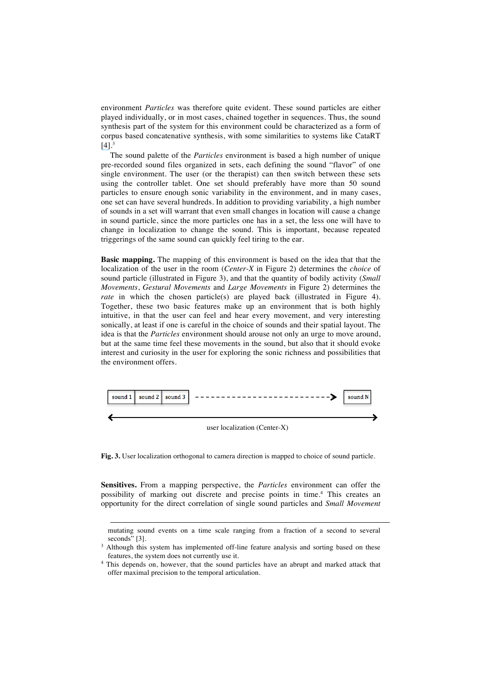environment *Particles* was therefore quite evident. These sound particles are either played individually, or in most cases, chained together in sequences. Thus, the sound synthesis part of the system for this environment could be characterized as a form of corpus based concatenative synthesis, with some similarities to systems like CataRT  $[4]$ <sup>3</sup>

The sound palette of the *Particles* environment is based a high number of unique pre-recorded sound files organized in sets, each defining the sound "flavor" of one single environment. The user (or the therapist) can then switch between these sets using the controller tablet. One set should preferably have more than 50 sound particles to ensure enough sonic variability in the environment, and in many cases, one set can have several hundreds. In addition to providing variability, a high number of sounds in a set will warrant that even small changes in location will cause a change in sound particle, since the more particles one has in a set, the less one will have to change in localization to change the sound. This is important, because repeated triggerings of the same sound can quickly feel tiring to the ear.

**Basic mapping.** The mapping of this environment is based on the idea that that the localization of the user in the room (*Center-X* in Figure 2) determines the *choice* of sound particle (illustrated in Figure 3), and that the quantity of bodily activity (*Small Movements*, *Gestural Movements* and *Large Movements* in Figure 2) determines the *rate* in which the chosen particle(s) are played back (illustrated in Figure 4). Together, these two basic features make up an environment that is both highly intuitive, in that the user can feel and hear every movement, and very interesting sonically, at least if one is careful in the choice of sounds and their spatial layout. The idea is that the *Particles* environment should arouse not only an urge to move around, but at the same time feel these movements in the sound, but also that it should evoke interest and curiosity in the user for exploring the sonic richness and possibilities that the environment offers.



**Fig. 3.** User localization orthogonal to camera direction is mapped to choice of sound particle.

**Sensitives.** From a mapping perspective, the *Particles* environment can offer the possibility of marking out discrete and precise points in time.4 This creates an opportunity for the direct correlation of single sound particles and *Small Movement*

 $\overline{a}$ 

mutating sound events on a time scale ranging from a fraction of a second to several

seconds" [3].  $3$  Although this system has implemented off-line feature analysis and sorting based on these features, the system does not currently use it.

<sup>4</sup> This depends on, however, that the sound particles have an abrupt and marked attack that offer maximal precision to the temporal articulation.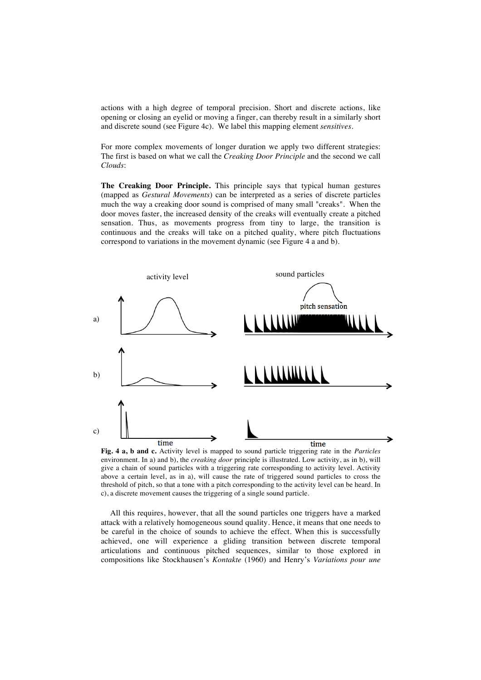actions with a high degree of temporal precision. Short and discrete actions, like opening or closing an eyelid or moving a finger, can thereby result in a similarly short and discrete sound (see Figure 4c). We label this mapping element *sensitives*.

For more complex movements of longer duration we apply two different strategies: The first is based on what we call the *Creaking Door Principle* and the second we call *Clouds*:

**The Creaking Door Principle.** This principle says that typical human gestures (mapped as *Gestural Movements*) can be interpreted as a series of discrete particles much the way a creaking door sound is comprised of many small "creaks". When the door moves faster, the increased density of the creaks will eventually create a pitched sensation. Thus, as movements progress from tiny to large, the transition is continuous and the creaks will take on a pitched quality, where pitch fluctuations correspond to variations in the movement dynamic (see Figure 4 a and b).



**Fig. 4 a, b and c.** Activity level is mapped to sound particle triggering rate in the *Particles*  environment. In a) and b), the *creaking door* principle is illustrated. Low activity, as in b), will give a chain of sound particles with a triggering rate corresponding to activity level. Activity above a certain level, as in a), will cause the rate of triggered sound particles to cross the threshold of pitch, so that a tone with a pitch corresponding to the activity level can be heard. In c), a discrete movement causes the triggering of a single sound particle.

All this requires, however, that all the sound particles one triggers have a marked attack with a relatively homogeneous sound quality. Hence, it means that one needs to be careful in the choice of sounds to achieve the effect. When this is successfully achieved, one will experience a gliding transition between discrete temporal articulations and continuous pitched sequences, similar to those explored in compositions like Stockhausen's *Kontakte* (1960) and Henry's *Variations pour une*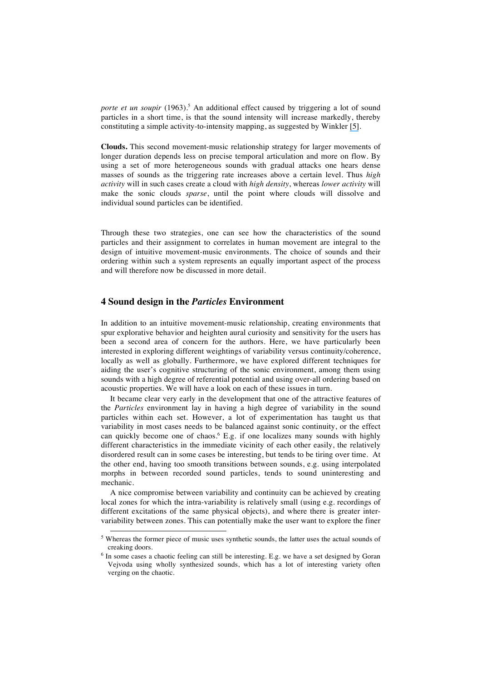*porte et un soupir* (1963).<sup>5</sup> An additional effect caused by triggering a lot of sound particles in a short time, is that the sound intensity will increase markedly, thereby constituting a simple activity-to-intensity mapping, as suggested by Winkler [\[5\]](https://www.researchgate.net/publication/246750099_Making_Motion_Musical_Gesture_Mapping_Strategies_for_Interactive_Computer_Music?el=1_x_8&enrichId=rgreq-b1c4798b5b1cc7878351ef727984881e-XXX&enrichSource=Y292ZXJQYWdlOzMwMzk0MzkxMjtBUzozNzI4MTQ5NzM1NTQ2ODhAMTQ2NTg5NzQyNDE0NQ==).

**Clouds.** This second movement-music relationship strategy for larger movements of longer duration depends less on precise temporal articulation and more on flow. By using a set of more heterogeneous sounds with gradual attacks one hears dense masses of sounds as the triggering rate increases above a certain level. Thus *high activity* will in such cases create a cloud with *high density*, whereas *lower activity* will make the sonic clouds *sparse*, until the point where clouds will dissolve and individual sound particles can be identified.

Through these two strategies, one can see how the characteristics of the sound particles and their assignment to correlates in human movement are integral to the design of intuitive movement-music environments. The choice of sounds and their ordering within such a system represents an equally important aspect of the process and will therefore now be discussed in more detail.

#### **4 Sound design in the** *Particles* **Environment**

In addition to an intuitive movement-music relationship, creating environments that spur explorative behavior and heighten aural curiosity and sensitivity for the users has been a second area of concern for the authors. Here, we have particularly been interested in exploring different weightings of variability versus continuity/coherence, locally as well as globally. Furthermore, we have explored different techniques for aiding the user's cognitive structuring of the sonic environment, among them using sounds with a high degree of referential potential and using over-all ordering based on acoustic properties. We will have a look on each of these issues in turn.

It became clear very early in the development that one of the attractive features of the *Particles* environment lay in having a high degree of variability in the sound particles within each set. However, a lot of experimentation has taught us that variability in most cases needs to be balanced against sonic continuity, or the effect can quickly become one of chaos. <sup>6</sup> E.g. if one localizes many sounds with highly different characteristics in the immediate vicinity of each other easily, the relatively disordered result can in some cases be interesting, but tends to be tiring over time. At the other end, having too smooth transitions between sounds, e.g. using interpolated morphs in between recorded sound particles, tends to sound uninteresting and mechanic.

A nice compromise between variability and continuity can be achieved by creating local zones for which the intra-variability is relatively small (using e.g. recordings of different excitations of the same physical objects), and where there is greater intervariability between zones. This can potentially make the user want to explore the finer

<sup>&</sup>lt;sup>5</sup> Whereas the former piece of music uses synthetic sounds, the latter uses the actual sounds of creaking doors.

<sup>&</sup>lt;sup>6</sup> In some cases a chaotic feeling can still be interesting. E.g. we have a set designed by Goran Vejvoda using wholly synthesized sounds, which has a lot of interesting variety often verging on the chaotic.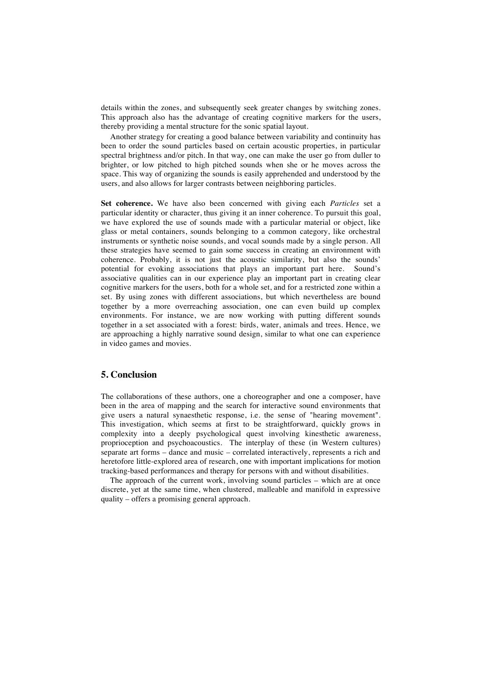details within the zones, and subsequently seek greater changes by switching zones. This approach also has the advantage of creating cognitive markers for the users, thereby providing a mental structure for the sonic spatial layout.

Another strategy for creating a good balance between variability and continuity has been to order the sound particles based on certain acoustic properties, in particular spectral brightness and/or pitch. In that way, one can make the user go from duller to brighter, or low pitched to high pitched sounds when she or he moves across the space. This way of organizing the sounds is easily apprehended and understood by the users, and also allows for larger contrasts between neighboring particles.

**Set coherence.** We have also been concerned with giving each *Particles* set a particular identity or character, thus giving it an inner coherence. To pursuit this goal, we have explored the use of sounds made with a particular material or object, like glass or metal containers, sounds belonging to a common category, like orchestral instruments or synthetic noise sounds, and vocal sounds made by a single person. All these strategies have seemed to gain some success in creating an environment with coherence. Probably, it is not just the acoustic similarity, but also the sounds' potential for evoking associations that plays an important part here. Sound's associative qualities can in our experience play an important part in creating clear cognitive markers for the users, both for a whole set, and for a restricted zone within a set. By using zones with different associations, but which nevertheless are bound together by a more overreaching association, one can even build up complex environments. For instance, we are now working with putting different sounds together in a set associated with a forest: birds, water, animals and trees. Hence, we are approaching a highly narrative sound design, similar to what one can experience in video games and movies.

# **5. Conclusion**

The collaborations of these authors, one a choreographer and one a composer, have been in the area of mapping and the search for interactive sound environments that give users a natural synaesthetic response, i.e. the sense of "hearing movement". This investigation, which seems at first to be straightforward, quickly grows in complexity into a deeply psychological quest involving kinesthetic awareness, proprioception and psychoacoustics. The interplay of these (in Western cultures) separate art forms – dance and music – correlated interactively, represents a rich and heretofore little-explored area of research, one with important implications for motion tracking-based performances and therapy for persons with and without disabilities.

The approach of the current work, involving sound particles – which are at once discrete, yet at the same time, when clustered, malleable and manifold in expressive quality – offers a promising general approach.